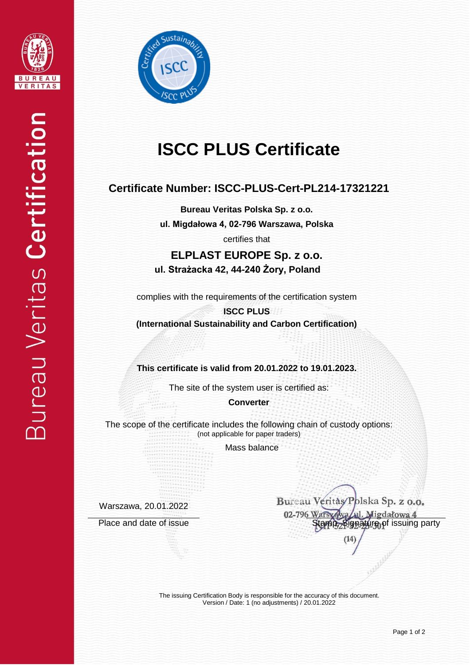



# **ISCC PLUS Certificate**

## **Certificate Number: ISCC-PLUS-Cert-PL214-17321221**

**Bureau Veritas Polska Sp. z o.o. ul. Migdałowa 4, 02-796 Warszawa, Polska**

certifies that

**ELPLAST EUROPE Sp. z o.o. ul. Strażacka 42, 44-240 Żory, Poland**

complies with the requirements of the certification system

**ISCC PLUS (International Sustainability and Carbon Certification)**

**This certificate is valid from 20.01.2022 to 19.01.2023.**

The site of the system user is certified as:

**Converter**

The scope of the certificate includes the following chain of custody options: (not applicable for paper traders)

Mass balance

Warszawa, 20.01.2022

Bureau Veritàs/Polska Sp. z o.o. 02-796 W Migdałowa 4 Place and date of issue Stamp, Signature of issuing party

> The issuing Certification Body is responsible for the accuracy of this document. Version / Date: 1 (no adjustments) / 20.01.2022